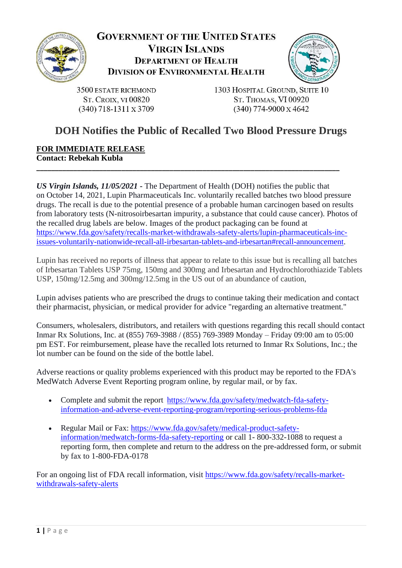



3500 ESTATE RICHMOND **ST. CROIX, VI 00820**  $(340)$  718-1311 x 3709

1303 HOSPITAL GROUND, SUITE 10 ST. THOMAS, VI 00920  $(340)$  774-9000 x 4642

# **DOH Notifies the Public of Recalled Two Blood Pressure Drugs**

#### **FOR IMMEDIATE RELEASE Contact: Rebekah Kubla**

*US Virgin Islands, 11/05/2021* **-** The Department of Health (DOH) notifies the public that on October 14, 2021, Lupin Pharmaceuticals Inc. voluntarily recalled batches two blood pressure drugs. The recall is due to the potential presence of a probable human carcinogen based on results from laboratory tests (N-nitrosoirbesartan impurity, a substance that could cause cancer). Photos of the recalled drug labels are below. Images of the product packaging can be found at [https://www.fda.gov/safety/recalls-market-withdrawals-safety-alerts/lupin-pharmaceuticals-inc](https://www.fda.gov/safety/recalls-market-withdrawals-safety-alerts/lupin-pharmaceuticals-inc-issues-voluntarily-nationwide-recall-all-irbesartan-tablets-and-irbesartan%23recall-announcement)[issues-voluntarily-nationwide-recall-all-irbesartan-tablets-and-irbesartan#recall-announcement.](https://www.fda.gov/safety/recalls-market-withdrawals-safety-alerts/lupin-pharmaceuticals-inc-issues-voluntarily-nationwide-recall-all-irbesartan-tablets-and-irbesartan%23recall-announcement)

**\_\_\_\_\_\_\_\_\_\_\_\_\_\_\_\_\_\_\_\_\_\_\_\_\_\_\_\_\_\_\_\_\_\_\_\_\_\_\_\_\_\_\_\_\_\_\_\_\_\_\_\_\_\_\_\_\_\_\_\_\_\_\_\_\_\_\_\_\_\_\_\_\_\_\_\_\_\_\_\_\_\_**

Lupin has received no reports of illness that appear to relate to this issue but is recalling all batches of Irbesartan Tablets USP 75mg, 150mg and 300mg and Irbesartan and Hydrochlorothiazide Tablets USP, 150mg/12.5mg and 300mg/12.5mg in the US out of an abundance of caution,

Lupin advises patients who are prescribed the drugs to continue taking their medication and contact their pharmacist, physician, or medical provider for advice "regarding an alternative treatment."

Consumers, wholesalers, distributors, and retailers with questions regarding this recall should contact Inmar Rx Solutions, Inc. at (855) 769-3988 / (855) 769-3989 Monday – Friday 09:00 am to 05:00 pm EST. For reimbursement, please have the recalled lots returned to Inmar Rx Solutions, Inc.; the lot number can be found on the side of the bottle label.

Adverse reactions or quality problems experienced with this product may be reported to the FDA's MedWatch Adverse Event Reporting program online, by regular mail, or by fax.

- Complete and submit the report [https://www.fda.gov/safety/medwatch-fda-safety](https://www.fda.gov/safety/medwatch-fda-safety-information-and-adverse-event-reporting-program/reporting-serious-problems-fda)[information-and-adverse-event-reporting-program/reporting-serious-problems-fda](https://www.fda.gov/safety/medwatch-fda-safety-information-and-adverse-event-reporting-program/reporting-serious-problems-fda)
- Regular Mail or Fax: [https://www.fda.gov/safety/medical-product-safety](https://www.fda.gov/safety/medical-product-safety-information/medwatch-forms-fda-safety-reporting)[information/medwatch-forms-fda-safety-reporting](https://www.fda.gov/safety/medical-product-safety-information/medwatch-forms-fda-safety-reporting) or call 1- 800-332-1088 to request a reporting form, then complete and return to the address on the pre-addressed form, or submit by fax to 1-800-FDA-0178

For an ongoing list of FDA recall information, visit [https://www.fda.gov/safety/recalls-market](https://www.fda.gov/safety/recalls-market-withdrawals-safety-alerts)[withdrawals-safety-alerts](https://www.fda.gov/safety/recalls-market-withdrawals-safety-alerts)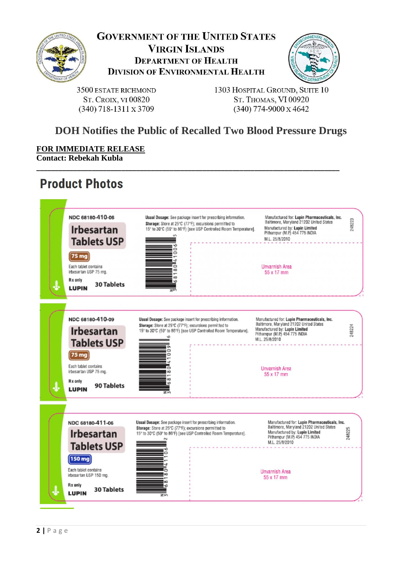



3500 ESTATE RICHMOND **ST. CROIX, VI 00820**  $(340)$  718-1311 x 3709

1303 HOSPITAL GROUND, SUITE 10 ST. THOMAS, VI 00920  $(340)$  774-9000 x 4642

# **DOH Notifies the Public of Recalled Two Blood Pressure Drugs**

**\_\_\_\_\_\_\_\_\_\_\_\_\_\_\_\_\_\_\_\_\_\_\_\_\_\_\_\_\_\_\_\_\_\_\_\_\_\_\_\_\_\_\_\_\_\_\_\_\_\_\_\_\_\_\_\_\_\_\_\_\_\_\_\_\_\_\_\_\_\_\_\_\_\_\_\_\_\_\_\_\_\_**

**FOR IMMEDIATE RELEASE Contact: Rebekah Kubla**

# **Product Photos**

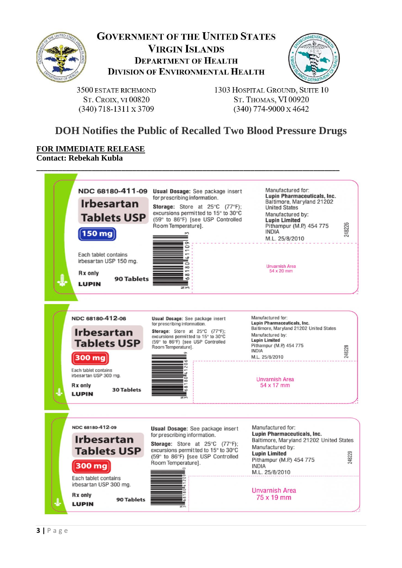



3500 ESTATE RICHMOND **ST. CROIX, VI 00820**  $(340)$  718-1311 x 3709

1303 HOSPITAL GROUND, SUITE 10 ST. THOMAS, VI 00920  $(340)$  774-9000 x 4642

# **DOH Notifies the Public of Recalled Two Blood Pressure Drugs**

#### **FOR IMMEDIATE RELEASE Contact: Rebekah Kubla**

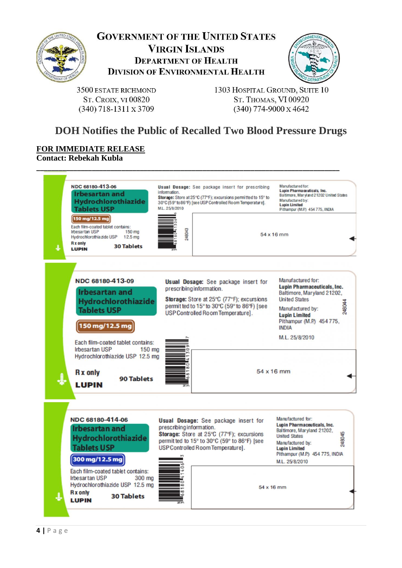



3500 ESTATE RICHMOND **ST. CROIX, VI 00820**  $(340)$  718-1311 x 3709

1303 HOSPITAL GROUND, SUITE 10 ST. THOMAS, VI 00920  $(340)$  774-9000 x 4642

# **DOH Notifies the Public of Recalled Two Blood Pressure Drugs**

#### **FOR IMMEDIATE RELEASE Contact: Rebekah Kubla**